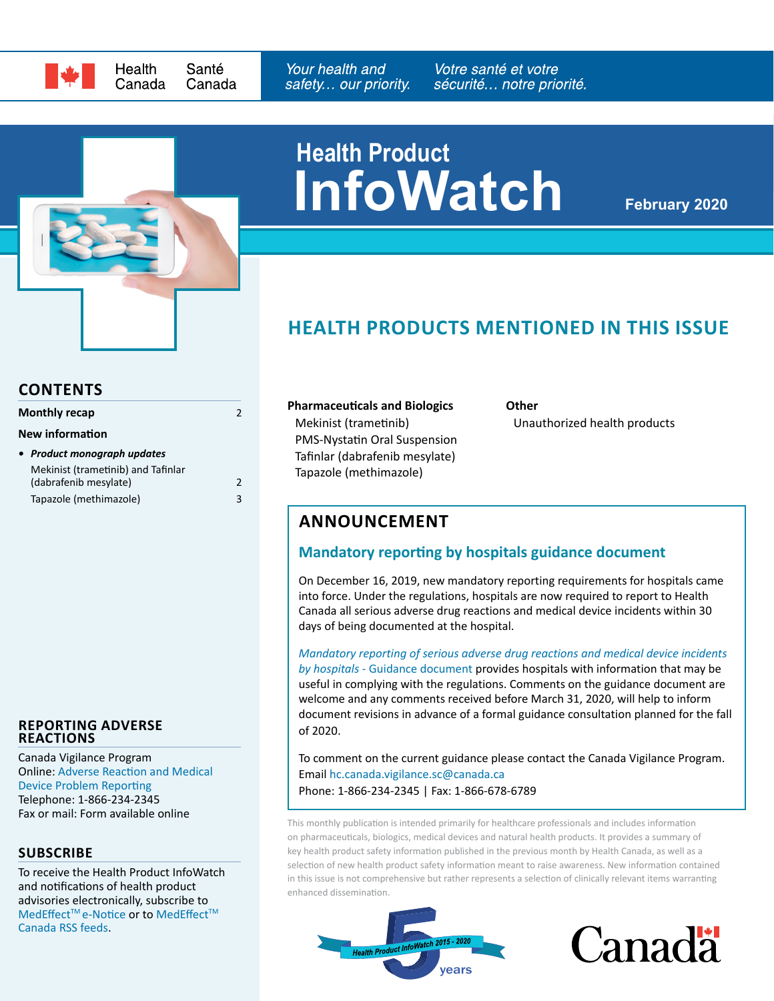

**Health Product**

**InfoWatch**

**February 2020**

# **HEALTH PRODUCTS MENTIONED IN THIS ISSUE**

#### **CONTENTS**

| Monthly recap                      | 2 |
|------------------------------------|---|
| <b>New information</b>             |   |
| • Product monograph updates        |   |
| Mekinist (trametinib) and Tafinlar |   |
| (dabrafenib mesylate)              | 2 |

[Tapazole \(methimazole\)](#page-2-0) 3

#### **REPORTING ADVERSE REACTIONS**

Canada Vigilance Program Online: [Adverse Reaction and Medical](https://www.canada.ca/en/health-canada/services/drugs-health-products/medeffect-canada/adverse-reaction-reporting.html)  [Device Problem Reporting](https://www.canada.ca/en/health-canada/services/drugs-health-products/medeffect-canada/adverse-reaction-reporting.html) Telephone: 1-866-234-2345 Fax or mail: Form available online

#### **SUBSCRIBE**

To receive the Health Product InfoWatch and notifications of health product advisories electronically, subscribe to MedEffect™e-Notice or to MedEffect™ [Canada RSS feeds.](https://www.canada.ca/en/health-canada/services/drugs-health-products/medeffect-canada/stay-informed-medeffect-canada/medeffect-canada-rss-feeds.html)

**Pharmaceuticals and Biologics** [Mekinist \(trametinib\)](#page-1-1)  [PMS-Nystatin Oral Suspension](#page-1-2) [Tafinlar \(dabrafenib mesylate\)](#page-1-1) [Tapazole \(methimazole\)](#page-2-1)

**Other** [Unauthorized health products](#page-1-3) 

### **ANNOUNCEMENT**

### **Mandatory reporting by hospitals guidance document**

On December 16, 2019, new mandatory reporting requirements for hospitals came into force. Under the regulations, hospitals are now required to report to Health Canada all serious adverse drug reactions and medical device incidents within 30 days of being documented at the hospital.

*[Mandatory reporting of serious adverse drug reactions and medical device incidents](https://www.canada.ca/en/health-canada/services/drugs-health-products/medeffect-canada/adverse-reaction-reporting/mandatory-hospital-reporting/drugs-devices/guidance.html)  by hospitals* [- Guidance document](https://www.canada.ca/en/health-canada/services/drugs-health-products/medeffect-canada/adverse-reaction-reporting/mandatory-hospital-reporting/drugs-devices/guidance.html) provides hospitals with information that may be useful in complying with the regulations. Comments on the guidance document are welcome and any comments received before March 31, 2020, will help to inform document revisions in advance of a formal guidance consultation planned for the fall of 2020.

To comment on the current guidance please contact the Canada Vigilance Program. Email [hc.canada.vigilance.sc@canada.ca](mailto:hc.canada.vigilance.sc%40canada.ca%20?subject=)  Phone: 1-866-234-2345 | Fax: 1-866-678-6789

This monthly publication is intended primarily for healthcare professionals and includes information on pharmaceuticals, biologics, medical devices and natural health products. It provides a summary of key health product safety information published in the previous month by Health Canada, as well as a selection of new health product safety information meant to raise awareness. New information contained in this issue is not comprehensive but rather represents a selection of clinically relevant items warranting enhanced dissemination.



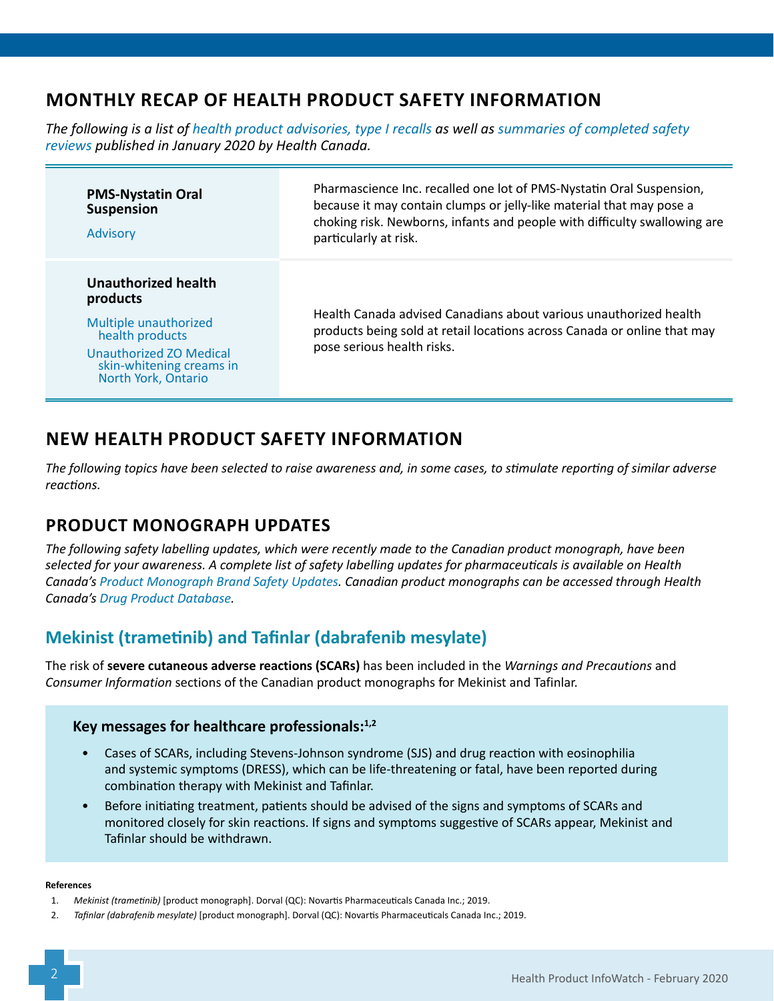# <span id="page-1-0"></span>**MONTHLY RECAP OF HEALTH PRODUCT SAFETY INFORMATION**

*The following is a list of [health product advisories, type I recalls](http://www.healthycanadians.gc.ca/recall-alert-rappel-avis/index-eng.php?cat=3) as well as [summaries of completed safety](https://hpr-rps.hres.ca/reg-content/resume-examen-innocuite.php?lang=en)  [reviews](https://hpr-rps.hres.ca/reg-content/resume-examen-innocuite.php?lang=en) published in January 2020 by Health Canada.*

<span id="page-1-3"></span><span id="page-1-2"></span>

| <b>PMS-Nystatin Oral</b><br><b>Suspension</b><br><b>Advisory</b>                                                                                          | Pharmascience Inc. recalled one lot of PMS-Nystatin Oral Suspension,<br>because it may contain clumps or jelly-like material that may pose a<br>choking risk. Newborns, infants and people with difficulty swallowing are<br>particularly at risk. |
|-----------------------------------------------------------------------------------------------------------------------------------------------------------|----------------------------------------------------------------------------------------------------------------------------------------------------------------------------------------------------------------------------------------------------|
| Unauthorized health<br>products<br>Multiple unauthorized<br>health products<br>Unauthorized ZO Medical<br>skin-whitening creams in<br>North York, Ontario | Health Canada advised Canadians about various unauthorized health<br>products being sold at retail locations across Canada or online that may<br>pose serious health risks.                                                                        |

# **NEW HEALTH PRODUCT SAFETY INFORMATION**

*The following topics have been selected to raise awareness and, in some cases, to stimulate reporting of similar adverse reactions.*

## **PRODUCT MONOGRAPH UPDATES**

*The following safety labelling updates, which were recently made to the Canadian product monograph, have been selected for your awareness. A complete list of safety labelling updates for pharmaceuticals is available on Health Canada's [Product Monograph Brand Safety Updates.](https://www.canada.ca/en/health-canada/services/drugs-health-products/drug-products/drug-product-database/label-safety-assessment-update/product-monograph-brand-safety-updates.html) Canadian product monographs can be accessed through Health Canada's [Drug Product Database.](https://health-products.canada.ca/dpd-bdpp/index-eng.jsp)*

## <span id="page-1-1"></span>**Mekinist (trametinib) and Tafinlar (dabrafenib mesylate)**

The risk of **severe cutaneous adverse reactions (SCARs)** has been included in the *Warnings and Precautions* and *Consumer Information* sections of the Canadian product monographs for Mekinist and Tafinlar.

### **Key messages for healthcare professionals:1,2**

- Cases of SCARs, including Stevens-Johnson syndrome (SJS) and drug reaction with eosinophilia and systemic symptoms (DRESS), which can be life-threatening or fatal, have been reported during combination therapy with Mekinist and Tafinlar.
- Before initiating treatment, patients should be advised of the signs and symptoms of SCARs and monitored closely for skin reactions. If signs and symptoms suggestive of SCARs appear, Mekinist and Tafinlar should be withdrawn.

#### **References**

2. *Tafinlar (dabrafenib mesylate)* [product monograph]. Dorval (QC): Novartis Pharmaceuticals Canada Inc.; 2019.

<sup>1.</sup> *Mekinist (trametinib)* [product monograph]. Dorval (QC): Novartis Pharmaceuticals Canada Inc.; 2019.